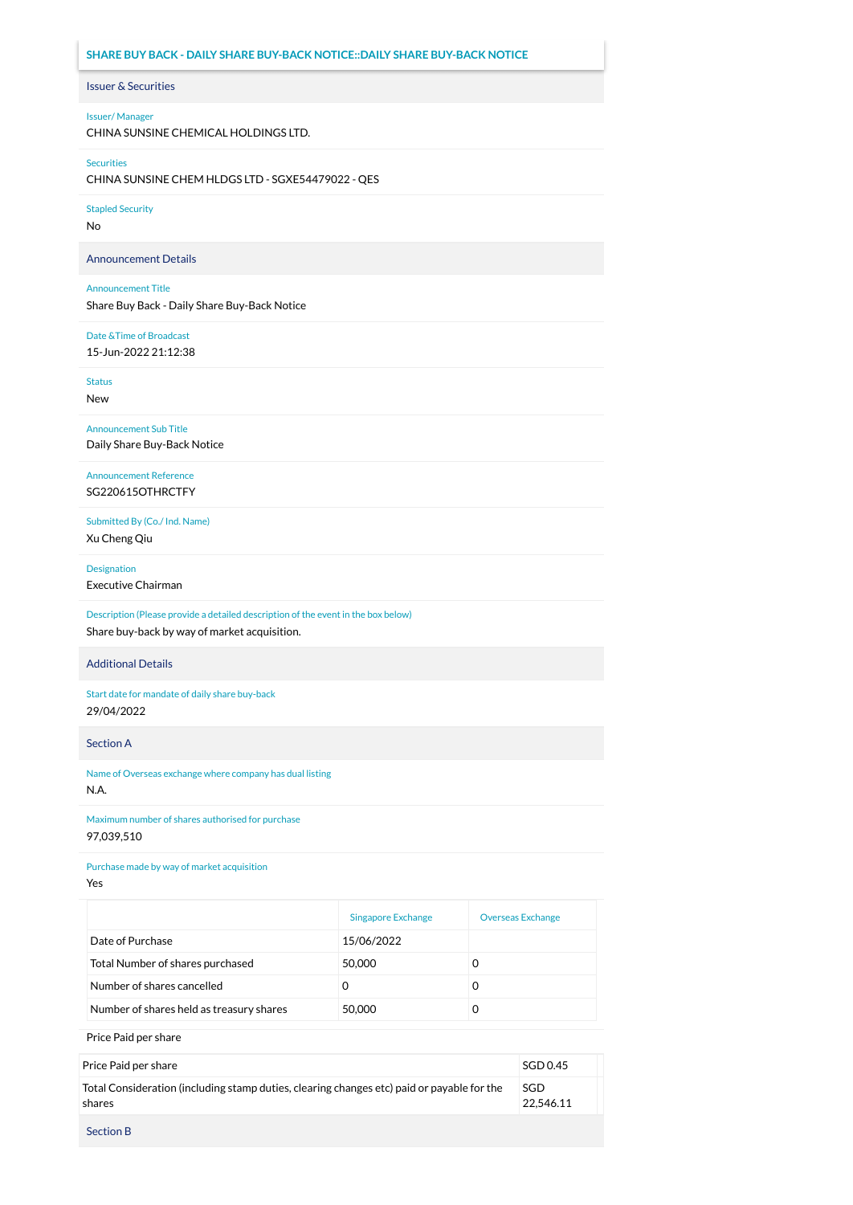# **SHARE BUY BACK - DAILY SHARE BUY-BACK NOTICE::DAILY SHARE BUY-BACK NOTICE**

## Issuer & Securities

#### Issuer/ Manager

CHINA SUNSINE CHEMICAL HOLDINGS LTD.

#### Securities

CHINA SUNSINE CHEM HLDGS LTD - SGXE54479022 - QES

#### Stapled Security

No

#### Announcement Details

#### Announcement Title

Share Buy Back - Daily Share Buy-Back Notice

# Date &Time of Broadcast

15-Jun-2022 21:12:38

Status

New

Announcement Sub Title Daily Share Buy-Back Notice

# Announcement Reference SG220615OTHRCTFY

Submitted By (Co./ Ind. Name) Xu Cheng Qiu

# Designation

Executive Chairman

# Description (Please provide a detailed description of the event in the box below) Share buy-back by way of market acquisition.

#### Additional Details

Start date for mandate of daily share buy-back 29/04/2022

#### Section A

Name of Overseas exchange where company has dual listing

# N.A.

Maximum number of shares authorised for purchase 97,039,510

## Purchase made by way of market acquisition

Yes

|                                          | <b>Singapore Exchange</b> | <b>Overseas Exchange</b> |
|------------------------------------------|---------------------------|--------------------------|
| Date of Purchase                         | 15/06/2022                |                          |
| Total Number of shares purchased         | 50,000                    |                          |
| Number of shares cancelled               |                           |                          |
| Number of shares held as treasury shares | 50,000                    |                          |

Price Paid per share

| Price Paid per share                                                                                 | SGD 0.45         |
|------------------------------------------------------------------------------------------------------|------------------|
| Total Consideration (including stamp duties, clearing changes etc) paid or payable for the<br>shares | SGD<br>22.546.11 |
| <b>Section B</b>                                                                                     |                  |